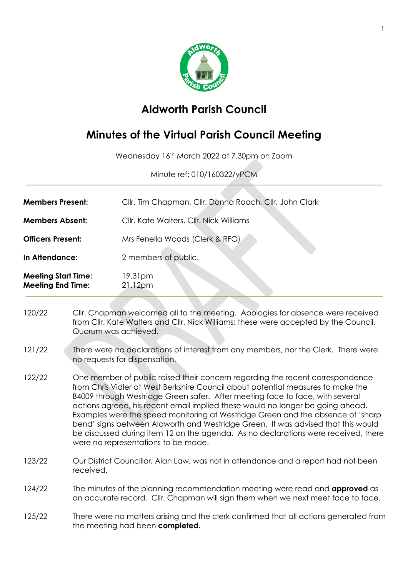

## **Aldworth Parish Council**

## **Minutes of the Virtual Parish Council Meeting**

Wednesday 16th March 2022 at 7.30pm on Zoom

Minute ref: 010/160322/vPCM

- **Members Present:** Cllr. Tim Chapman, Cllr. Donna Roach, Cllr. John Clark **Members Absent:** Cllr. Kate Walters, Cllr. Nick Williams **Officers Present:** Mrs Fenella Woods (Clerk & RFO) **In Attendance:** 2 members of public. **Meeting Start Time:** 19.31pm **Meeting End Time:** 21.12pm
- 120/22 Cllr. Chapman welcomed all to the meeting. Apologies for absence were received from Cllr. Kate Walters and Cllr. Nick Williams; these were accepted by the Council. Quorum was achieved.
- 121/22 There were no declarations of interest from any members, nor the Clerk. There were no requests for dispensation.
- 122/22 One member of public raised their concern regarding the recent correspondence from Chris Vidler at West Berkshire Council about potential measures to make the B4009 through Westridge Green safer. After meeting face to face, with several actions agreed, his recent email implied these would no longer be going ahead. Examples were the speed monitoring at Westridge Green and the absence of 'sharp bend' signs between Aldworth and Westridge Green. It was advised that this would be discussed during item 12 on the agenda. As no declarations were received, there were no representations to be made.
- 123/22 Our District Councillor, Alan Law, was not in attendance and a report had not been received.
- 124/22 The minutes of the planning recommendation meeting were read and **approved** as an accurate record. Cllr. Chapman will sign them when we next meet face to face.
- 125/22 There were no matters arising and the clerk confirmed that all actions generated from the meeting had been **completed**.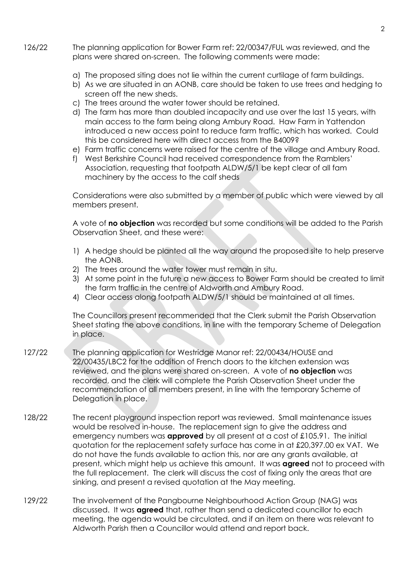- 126/22 The planning application for Bower Farm ref: 22/00347/FUL was reviewed, and the plans were shared on-screen. The following comments were made:
	- a) The proposed siting does not lie within the current curtilage of farm buildings.
	- b) As we are situated in an AONB, care should be taken to use trees and hedging to screen off the new sheds.
	- c) The trees around the water tower should be retained.
	- d) The farm has more than doubled incapacity and use over the last 15 years, with main access to the farm being along Ambury Road. Haw Farm in Yattendon introduced a new access point to reduce farm traffic, which has worked. Could this be considered here with direct access from the B4009?
	- e) Farm traffic concerns were raised for the centre of the village and Ambury Road.
	- f) West Berkshire Council had received correspondence from the Ramblers' Association, requesting that footpath ALDW/5/1 be kept clear of all fam machinery by the access to the calf sheds

Considerations were also submitted by a member of public which were viewed by all members present.

A vote of **no objection** was recorded but some conditions will be added to the Parish Observation Sheet, and these were:

- 1) A hedge should be planted all the way around the proposed site to help preserve the AONB.
- 2) The trees around the water tower must remain in situ.
- 3) At some point in the future a new access to Bower Farm should be created to limit the farm traffic in the centre of Aldworth and Ambury Road.
- 4) Clear access along footpath ALDW/5/1 should be maintained at all times.

The Councillors present recommended that the Clerk submit the Parish Observation Sheet stating the above conditions, in line with the temporary Scheme of Delegation in place.

- 127/22 The planning application for Westridge Manor ref: 22/00434/HOUSE and 22/00435/LBC2 for the addition of French doors to the kitchen extension was reviewed, and the plans were shared on-screen. A vote of **no objection** was recorded, and the clerk will complete the Parish Observation Sheet under the recommendation of all members present, in line with the temporary Scheme of Delegation in place.
- 128/22 The recent playground inspection report was reviewed. Small maintenance issues would be resolved in-house. The replacement sign to give the address and emergency numbers was **approved** by all present at a cost of £105.91. The initial quotation for the replacement safety surface has come in at £20,397.00 ex VAT. We do not have the funds available to action this, nor are any grants available, at present, which might help us achieve this amount. It was **agreed** not to proceed with the full replacement. The clerk will discuss the cost of fixing only the areas that are sinking, and present a revised quotation at the May meeting.
- 129/22 The involvement of the Pangbourne Neighbourhood Action Group (NAG) was discussed. It was **agreed** that, rather than send a dedicated councillor to each meeting, the agenda would be circulated, and if an item on there was relevant to Aldworth Parish then a Councillor would attend and report back.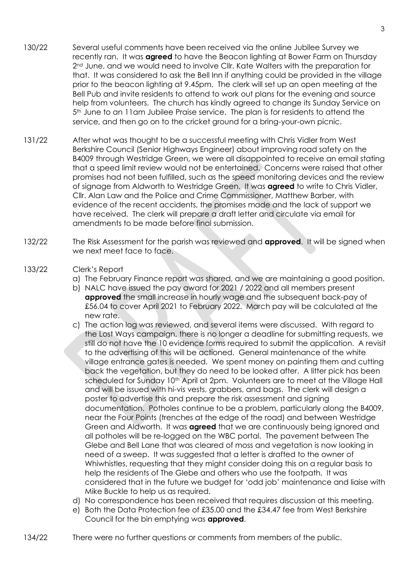- 130/22 Several useful comments have been received via the online Jubilee Survey we recently ran. It was **agreed** to have the Beacon lighting at Bower Farm on Thursday 2<sup>nd</sup> June, and we would need to involve Cllr. Kate Walters with the preparation for that. It was considered to ask the Bell Inn if anything could be provided in the village prior to the beacon lighting at 9.45pm. The clerk will set up an open meeting at the Bell Pub and invite residents to attend to work out plans for the evening and source help from volunteers. The church has kindly agreed to change its Sunday Service on 5th June to an 11am Jubilee Praise service. The plan is for residents to attend the service, and then go on to the cricket ground for a bring-your-own picnic.
- 131/22 After what was thought to be a successful meeting with Chris Vidler from West Berkshire Council (Senior Highways Engineer) about improving road safety on the B4009 through Westridge Green, we were all disappointed to receive an email stating that a speed limit review would not be entertained. Concerns were raised that other promises had not been fulfilled, such as the speed monitoring devices and the review of signage from Aldworth to Westridge Green. It was **agreed** to write to Chris Vidler, Cllr. Alan Law and the Police and Crime Commissioner, Matthew Barber, with evidence of the recent accidents, the promises made and the lack of support we have received. The clerk will prepare a draft letter and circulate via email for amendments to be made before final submission.
- 132/22 The Risk Assessment for the parish was reviewed and **approved**. It will be signed when we next meet face to face.
- 133/22 Clerk's Report
	- a) The February Finance report was shared, and we are maintaining a good position.
	- b) NALC have issued the pay award for 2021 / 2022 and all members present **approved** the small increase in hourly wage and the subsequent back-pay of £56.04 to cover April 2021 to February 2022. March pay will be calculated at the new rate.
	- c) The action log was reviewed, and several items were discussed. With regard to the Lost Ways campaign, there is no longer a deadline for submitting requests, we still do not have the 10 evidence forms required to submit the application. A revisit to the advertising of this will be actioned. General maintenance of the white village entrance gates is needed. We spent money on painting them and cutting back the vegetation, but they do need to be looked after. A litter pick has been scheduled for Sunday 10<sup>th</sup> April at 2pm. Volunteers are to meet at the Village Hall and will be issued with hi-vis vests, grabbers, and bags. The clerk will design a poster to advertise this and prepare the risk assessment and signing documentation. Potholes continue to be a problem, particularly along the B4009, near the Four Points (trenches at the edge of the road) and between Westridge Green and Aldworth. It was **agreed** that we are continuously being ignored and all potholes will be re-logged on the WBC portal. The pavement between The Glebe and Bell Lane that was cleared of moss and vegetation is now looking in need of a sweep. It was suggested that a letter is drafted to the owner of Whiwhistles, requesting that they might consider doing this on a regular basis to help the residents of The Glebe and others who use the footpath. It was considered that in the future we budget for 'odd job' maintenance and liaise with Mike Buckle to help us as required.
	- d) No correspondence has been received that requires discussion at this meeting.
	- e) Both the Data Protection fee of £35.00 and the £34.47 fee from West Berkshire Council for the bin emptying was **approved**.
- 134/22 There were no further questions or comments from members of the public.